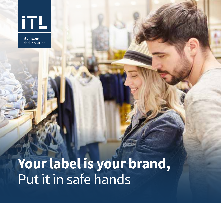

Intelligent Label Solutions

**Your label is your brand,** Put it in safe hands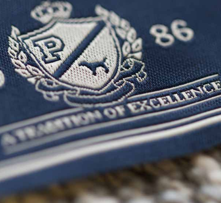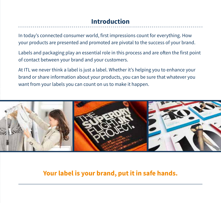# **Introduction**

In today's connected consumer world, first impressions count for everything. How your products are presented and promoted are pivotal to the success of your brand.

Labels and packaging play an essential role in this process and are often the first point of contact between your brand and your customers.

At ITL we never think a label is just a label. Whether it's helping you to enhance your brand or share information about your products, you can be sure that whatever you want from your labels you can count on us to make it happen.



# **Your label is your brand, put it in safe hands.**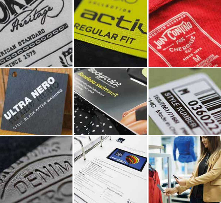















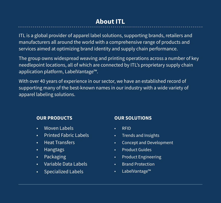ITL is a global provider of apparel label solutions, supporting brands, retailers and manufacturers all around the world with a comprehensive range of products and services aimed at optimizing brand identity and supply chain performance.

The group owns widespread weaving and printing operations across a number of key needlepoint locations, all of which are connected by ITL's proprietary supply chain application platform, LabelVantage™.

With over 40 years of experience in our sector, we have an established record of supporting many of the best-known names in our industry with a wide variety of apparel labeling solutions.

### **OUR PRODUCTS**

- Woven Labels
- Printed Fabric Labels
- Heat Transfers
- Hangtags
- Packaging
- Variable Data Labels
- Specialized Labels

### **OUR SOLUTIONS**

- RFID
- Trends and Insights
- Concept and Development
- Product Guides
- Product Engineering
- Brand Protection
- LabelVantage™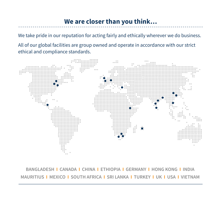We take pride in our reputation for acting fairly and ethically wherever we do business.

All of our global facilities are group owned and operate in accordance with our strict ethical and compliance standards.



**MEXICO • TURKEY • SOUTH AFRICA • SOUTH AFRICA • USA • USA • UKA • UKA • UKA • UKA • UKA • UKA • UKA • UKA • UK BANGLADESH I CANADA I CHINA I ETHIOPIA I GERMANY I HONG KONG I INDIA MAURITIUS I MEXICO I SOUTH AFRICA I SRI LANKA I TURKEY I UK I USA I VIETNAM**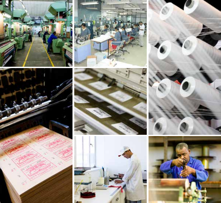











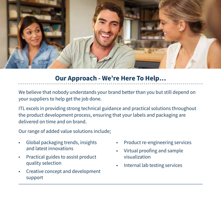

## **Our Approach - We're Here To Help…**

We believe that nobody understands your brand better than you but still depend on your suppliers to help get the job done.

ITL excels in providing strong technical guidance and practical solutions throughout the product development process, ensuring that your labels and packaging are delivered on time and on brand.

Our range of added value solutions include;

- Global packaging trends, insights and latest innovations
- Practical guides to assist product quality selection
- Creative concept and development support
- Product re-engineering services
- Virtual proofing and sample visualization
- Internal lab testing services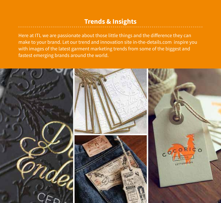## **Trends & Insights**

Here at ITL we are passionate about those little things and the difference they can make to your brand. Let our trend and innovation site in-the-details.com inspire you with images of the latest garment marketing trends from some of the biggest and fastest emerging brands around the world.

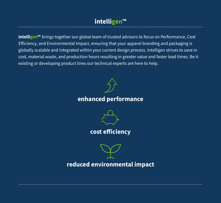# **intelligen™**

**intelligen™** brings together our global team of trusted advisors to focus on Performance, Cost Efficiency, and Environmental Impact, ensuring that your apparel branding and packaging is globally scalable and integrated within your current design process. Intelligen strives to save in cost, material waste, and production hours resulting in greater value and faster lead times. Be it existing or developing product lines our technical experts are here to help.

**enhanced performance**



### **cost efficiency**

**reduced environmental impact**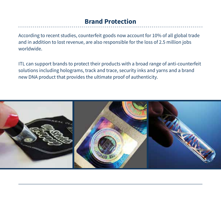## **Brand Protection**

According to recent studies, counterfeit goods now account for 10% of all global trade and in addition to lost revenue, are also responsible for the loss of 2.5 million jobs worldwide.

ITL can support brands to protect their products with a broad range of anti-counterfeit solutions including holograms, track and trace, security inks and yarns and a brand new DNA product that provides the ultimate proof of authenticity.

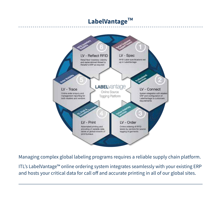# LabelVantage™



Managing complex global labeling programs requires a reliable supply chain platform.

ITL's LabelVantage™ online ordering system integrates seamlessly with your existing ERP and hosts your critical data for call off and accurate printing in all of our global sites.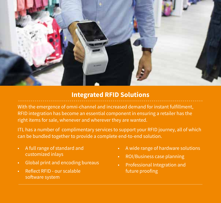

### **Integrated RFID Solutions**

With the emergence of omni-channel and increased demand for instant fulfillment, RFID integration has become an essential component in ensuring a retailer has the right items for sale, whenever and wherever they are wanted.

ITL has a number of complimentary services to support your RFID journey, all of which can be bundled together to provide a complete end-to-end solution.

- A full range of standard and customized inlays
- Global print and encoding bureaus
- Reflect RFID our scalable software system
- A wide range of hardware solutions
- ROI/Business case planning
- Professional Integration and future proofing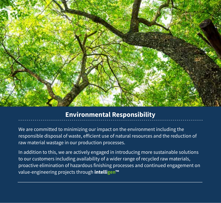

# **Environmental Responsibility**

We are committed to minimizing our impact on the environment including the responsible disposal of waste, efficient use of natural resources and the reduction of raw material wastage in our production processes.

In addition to this, we are actively engaged in introducing more sustainable solutions to our customers including availability of a wider range of recycled raw materials, proactive elimination of hazardous finishing processes and continued engagement on value-engineering projects through **intelligen™**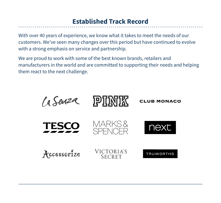# **Established Track Record**

With over 40 years of experience, we know what it takes to meet the needs of our customers. We've seen many changes over this period but have continued to evolve with a strong emphasis on service and partnership.

We are proud to work with some of the best known brands, retailers and manufacturers in the world and are committed to supporting their needs and helping them react to the next challenge.